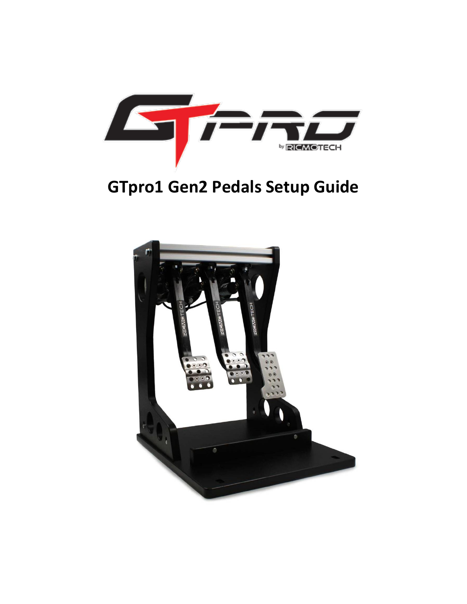

# **GTpro1 Gen2 Pedals Setup Guide**

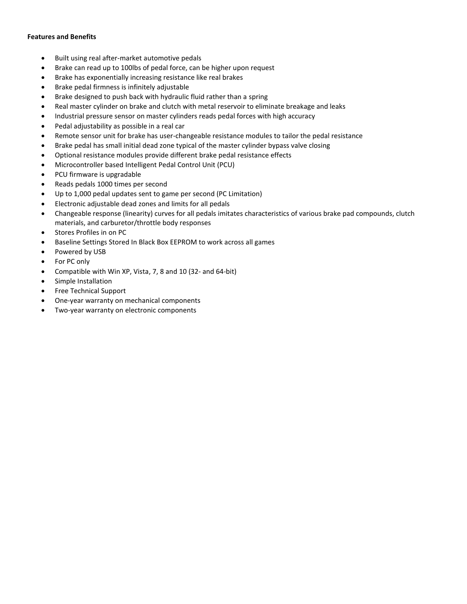### **Features and Benefits**

- Built using real after-market automotive pedals
- Brake can read up to 100lbs of pedal force, can be higher upon request
- Brake has exponentially increasing resistance like real brakes
- Brake pedal firmness is infinitely adjustable
- Brake designed to push back with hydraulic fluid rather than a spring
- Real master cylinder on brake and clutch with metal reservoir to eliminate breakage and leaks
- Industrial pressure sensor on master cylinders reads pedal forces with high accuracy
- Pedal adjustability as possible in a real car
- Remote sensor unit for brake has user-changeable resistance modules to tailor the pedal resistance
- Brake pedal has small initial dead zone typical of the master cylinder bypass valve closing
- Optional resistance modules provide different brake pedal resistance effects
- Microcontroller based Intelligent Pedal Control Unit (PCU)
- PCU firmware is upgradable
- Reads pedals 1000 times per second
- Up to 1,000 pedal updates sent to game per second (PC Limitation)
- Electronic adjustable dead zones and limits for all pedals
- Changeable response (linearity) curves for all pedals imitates characteristics of various brake pad compounds, clutch materials, and carburetor/throttle body responses
- Stores Profiles in on PC
- Baseline Settings Stored In Black Box EEPROM to work across all games
- Powered by USB
- For PC only
- Compatible with Win XP, Vista, 7, 8 and 10 (32- and 64-bit)
- Simple Installation
- Free Technical Support
- One-year warranty on mechanical components
- Two-year warranty on electronic components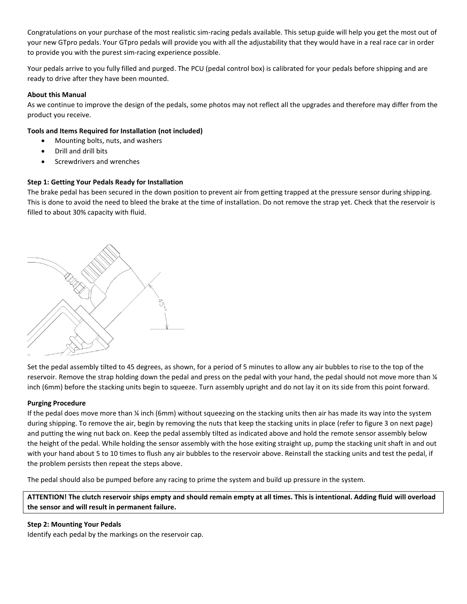Congratulations on your purchase of the most realistic sim-racing pedals available. This setup guide will help you get the most out of your new GTpro pedals. Your GTpro pedals will provide you with all the adjustability that they would have in a real race car in order to provide you with the purest sim-racing experience possible.

Your pedals arrive to you fully filled and purged. The PCU (pedal control box) is calibrated for your pedals before shipping and are ready to drive after they have been mounted.

## **About this Manual**

As we continue to improve the design of the pedals, some photos may not reflect all the upgrades and therefore may differ from the product you receive.

### **Tools and Items Required for Installation (not included)**

- Mounting bolts, nuts, and washers
- Drill and drill bits
- Screwdrivers and wrenches

# **Step 1: Getting Your Pedals Ready for Installation**

The brake pedal has been secured in the down position to prevent air from getting trapped at the pressure sensor during shipping. This is done to avoid the need to bleed the brake at the time of installation. Do not remove the strap yet. Check that the reservoir is filled to about 30% capacity with fluid.



Set the pedal assembly tilted to 45 degrees, as shown, for a period of 5 minutes to allow any air bubbles to rise to the top of the reservoir. Remove the strap holding down the pedal and press on the pedal with your hand, the pedal should not move more than  $\frac{1}{4}$ inch (6mm) before the stacking units begin to squeeze. Turn assembly upright and do not lay it on its side from this point forward.

#### **Purging Procedure**

If the pedal does move more than ¼ inch (6mm) without squeezing on the stacking units then air has made its way into the system during shipping. To remove the air, begin by removing the nuts that keep the stacking units in place (refer to figure 3 on next page) and putting the wing nut back on. Keep the pedal assembly tilted as indicated above and hold the remote sensor assembly below the height of the pedal. While holding the sensor assembly with the hose exiting straight up, pump the stacking unit shaft in and out with your hand about 5 to 10 times to flush any air bubbles to the reservoir above. Reinstall the stacking units and test the pedal, if the problem persists then repeat the steps above.

The pedal should also be pumped before any racing to prime the system and build up pressure in the system.

**ATTENTION! The clutch reservoir ships empty and should remain empty at all times. This is intentional. Adding fluid will overload the sensor and will result in permanent failure.** 

### **Step 2: Mounting Your Pedals**

Identify each pedal by the markings on the reservoir cap.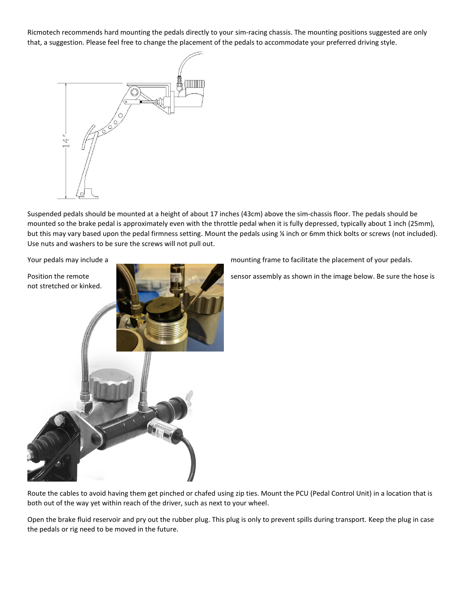Ricmotech recommends hard mounting the pedals directly to your sim-racing chassis. The mounting positions suggested are only that, a suggestion. Please feel free to change the placement of the pedals to accommodate your preferred driving style.



Suspended pedals should be mounted at a height of about 17 inches (43cm) above the sim-chassis floor. The pedals should be mounted so the brake pedal is approximately even with the throttle pedal when it is fully depressed, typically about 1 inch (25mm), but this may vary based upon the pedal firmness setting. Mount the pedals using ¼ inch or 6mm thick bolts or screws (not included). Use nuts and washers to be sure the screws will not pull out.



Your pedals may include a mounting frame to facilitate the placement of your pedals.

Route the cables to avoid having them get pinched or chafed using zip ties. Mount the PCU (Pedal Control Unit) in a location that is both out of the way yet within reach of the driver, such as next to your wheel.

Open the brake fluid reservoir and pry out the rubber plug. This plug is only to prevent spills during transport. Keep the plug in case the pedals or rig need to be moved in the future.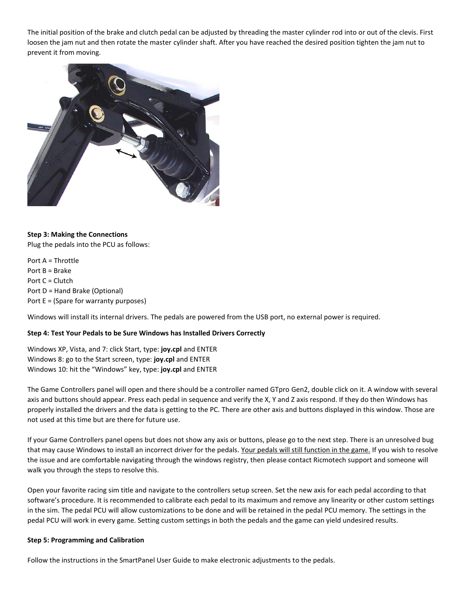The initial position of the brake and clutch pedal can be adjusted by threading the master cylinder rod into or out of the clevis. First loosen the jam nut and then rotate the master cylinder shaft. After you have reached the desired position tighten the jam nut to prevent it from moving.



### **Step 3: Making the Connections**

Plug the pedals into the PCU as follows:

Port A = Throttle Port B = Brake Port C = Clutch Port D = Hand Brake (Optional) Port E = (Spare for warranty purposes)

Windows will install its internal drivers. The pedals are powered from the USB port, no external power is required.

#### **Step 4: Test Your Pedals to be Sure Windows has Installed Drivers Correctly**

Windows XP, Vista, and 7: click Start, type: **joy.cpl** and ENTER Windows 8: go to the Start screen, type: **joy.cpl** and ENTER Windows 10: hit the "Windows" key, type: **joy.cpl** and ENTER

The Game Controllers panel will open and there should be a controller named GTpro Gen2, double click on it. A window with several axis and buttons should appear. Press each pedal in sequence and verify the X, Y and Z axis respond. If they do then Windows has properly installed the drivers and the data is getting to the PC. There are other axis and buttons displayed in this window. Those are not used at this time but are there for future use.

If your Game Controllers panel opens but does not show any axis or buttons, please go to the next step. There is an unresolved bug that may cause Windows to install an incorrect driver for the pedals. Your pedals will still function in the game. If you wish to resolve the issue and are comfortable navigating through the windows registry, then please contact Ricmotech support and someone will walk you through the steps to resolve this.

Open your favorite racing sim title and navigate to the controllers setup screen. Set the new axis for each pedal according to that software's procedure. It is recommended to calibrate each pedal to its maximum and remove any linearity or other custom settings in the sim. The pedal PCU will allow customizations to be done and will be retained in the pedal PCU memory. The settings in the pedal PCU will work in every game. Setting custom settings in both the pedals and the game can yield undesired results.

#### **Step 5: Programming and Calibration**

Follow the instructions in the SmartPanel User Guide to make electronic adjustments to the pedals.